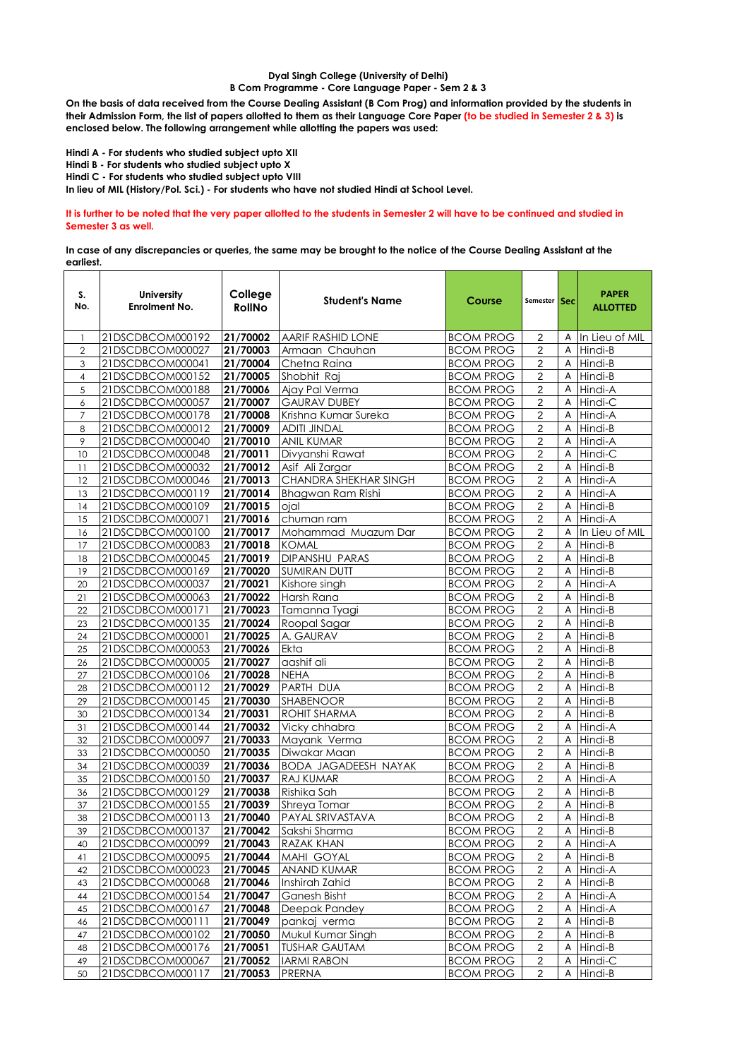## **Dyal Singh College (University of Delhi) B Com Programme - Core Language Paper - Sem 2 & 3**

**On the basis of data received from the Course Dealing Assistant (B Com Prog) and information provided by the students in their Admission Form, the list of papers allotted to them as their Language Core Paper (to be studied in Semester 2 & 3) is enclosed below. The following arrangement while allotting the papers was used:**

**Hindi A - For students who studied subject upto XII Hindi B - For students who studied subject upto X Hindi C - For students who studied subject upto VIII In lieu of MIL (History/Pol. Sci.) - For students who have not studied Hindi at School Level.**

**It is further to be noted that the very paper allotted to the students in Semester 2 will have to be continued and studied in Semester 3 as well.**

**In case of any discrepancies or queries, the same may be brought to the notice of the Course Dealing Assistant at the earliest.**

| S.<br>No.      | <b>University</b><br><b>Enrolment No.</b> | College<br><b>RollNo</b> | <b>Student's Name</b>       | Course           | Semester Sec            |              | <b>PAPER</b><br><b>ALLOTTED</b> |
|----------------|-------------------------------------------|--------------------------|-----------------------------|------------------|-------------------------|--------------|---------------------------------|
| $\mathbf{1}$   | 21DSCDBCOM000192                          | 21/70002                 | AARIF RASHID LONE           | <b>BCOM PROG</b> | 2                       | Α            | In Lieu of MIL                  |
| $\overline{2}$ | 21DSCDBCOM000027                          | 21/70003                 | Armaan Chauhan              | <b>BCOM PROG</b> | 2                       | A            | Hindi-B                         |
| 3              | 21DSCDBCOM000041                          | 21/70004                 | Chetna Raina                | <b>BCOM PROG</b> | $\mathbf 2$             | $\mathsf{A}$ | Hindi-B                         |
| $\overline{4}$ | 21DSCDBCOM000152                          | 21/70005                 | Shobhit Raj                 | <b>BCOM PROG</b> | 2                       | Α            | Hindi-B                         |
| 5              | 21DSCDBCOM000188                          | 21/70006                 | Ajay Pal Verma              | <b>BCOM PROG</b> | $\overline{c}$          | A            | Hindi-A                         |
| 6              | 21DSCDBCOM000057                          | 21/70007                 | <b>GAURAV DUBEY</b>         | <b>BCOM PROG</b> | $\overline{c}$          | $\mathsf{A}$ | Hindi-C                         |
| 7              | 21DSCDBCOM000178                          | 21/70008                 | Krishna Kumar Sureka        | <b>BCOM PROG</b> | 2                       | A            | Hindi-A                         |
| 8              | 21DSCDBCOM000012                          | 21/70009                 | <b>ADITI JINDAL</b>         | <b>BCOM PROG</b> | $\overline{c}$          | Α            | Hindi-B                         |
| 9              | 21DSCDBCOM000040                          | 21/70010                 | <b>ANIL KUMAR</b>           | <b>BCOM PROG</b> | $\sqrt{2}$              | A            | Hindi-A                         |
| 10             | 21DSCDBCOM000048                          | 21/70011                 | Divyanshi Rawat             | <b>BCOM PROG</b> | $\overline{c}$          | A            | Hindi-C                         |
| 11             | 21DSCDBCOM000032                          | $\sqrt{21/70012}$        | Asif Ali Zargar             | <b>BCOM PROG</b> | 2                       | Α            | Hindi-B                         |
| 12             | 21DSCDBCOM000046                          | 21/70013                 | CHANDRA SHEKHAR SINGH       | <b>BCOM PROG</b> | $\mathbf 2$             | Α            | Hindi-A                         |
| 13             | 21DSCDBCOM000119                          | 21/70014                 | Bhagwan Ram Rishi           | <b>BCOM PROG</b> | $\overline{2}$          | A            | Hindi-A                         |
| 14             | 21DSCDBCOM000109                          | $\sqrt{21/70015}$        | ojal                        | <b>BCOM PROG</b> | $\overline{\mathbf{c}}$ | A            | Hindi-B                         |
| 15             | 21DSCDBCOM000071                          | 21/70016                 | chuman ram                  | <b>BCOM PROG</b> | $\overline{c}$          | Α            | Hindi-A                         |
| 16             | 21DSCDBCOM000100                          | 21/70017                 | Mohammad Muazum Dar         | <b>BCOM PROG</b> | 2                       | A            | In Lieu of MIL                  |
| 17             | 21DSCDBCOM000083                          | 21/70018                 | <b>KOMAL</b>                | <b>BCOM PROG</b> | $\overline{2}$          | A            | Hindi-B                         |
| 18             | 21DSCDBCOM000045                          | 21/70019                 | DIPANSHU PARAS              | <b>BCOM PROG</b> | $\overline{c}$          | A            | Hindi-B                         |
| 19             | 21DSCDBCOM000169                          | 21/70020                 | <b>SUMIRAN DUTT</b>         | <b>BCOM PROG</b> | $\overline{2}$          | Α            | Hindi-B                         |
| 20             | 21DSCDBCOM000037                          | 21/70021                 | Kishore singh               | <b>BCOM PROG</b> | $\sqrt{2}$              | A            | Hindi-A                         |
| 21             | 21DSCDBCOM000063                          | 21/70022                 | Harsh Rana                  | <b>BCOM PROG</b> | $\overline{c}$          | A            | Hindi-B                         |
| 22             | 21DSCDBCOM000171                          | 21/70023                 | Tamanna Tyagi               | <b>BCOM PROG</b> | $\overline{\mathbf{c}}$ | A            | Hindi-B                         |
| 23             | 21DSCDBCOM000135                          | 21/70024                 | Roopal Sagar                | <b>BCOM PROG</b> | $\overline{2}$          | A            | Hindi-B                         |
| 24             | 21DSCDBCOM000001                          | 21/70025                 | A. GAURAV                   | <b>BCOM PROG</b> | $\sqrt{2}$              | A            | Hindi-B                         |
| 25             | 21DSCDBCOM000053                          | 21/70026                 | Ekta                        | <b>BCOM PROG</b> | 2                       | A            | Hindi-B                         |
| 26             | 21DSCDBCOM000005                          | 21/70027                 | aashif ali                  | <b>BCOM PROG</b> | $\overline{2}$          | A            | Hindi-B                         |
| 27             | 21DSCDBCOM000106                          | 21/70028                 | <b>NEHA</b>                 | <b>BCOM PROG</b> | $\overline{2}$          | A            | Hindi-B                         |
| 28             | 21DSCDBCOM000112                          | 21/70029                 | PARTH DUA                   | <b>BCOM PROG</b> | $\mathbf 2$             | Α            | Hindi-B                         |
| 29             | 21DSCDBCOM000145                          | 21/70030                 | <b>SHABENOOR</b>            | <b>BCOM PROG</b> | $\overline{c}$          | Α            | Hindi-B                         |
| 30             | 21DSCDBCOM000134                          | 21/70031                 | <b>ROHIT SHARMA</b>         | <b>BCOM PROG</b> | $\overline{2}$          | A            | Hindi-B                         |
| 31             | 21DSCDBCOM000144                          | 21/70032                 | Vicky chhabra               | <b>BCOM PROG</b> | $\overline{c}$          | $\mathsf{A}$ | Hindi-A                         |
| 32             | 21DSCDBCOM000097                          | 21/70033                 | Mayank Verma                | <b>BCOM PROG</b> | $\overline{c}$          | Α            | Hindi-B                         |
| 33             | 21DSCDBCOM000050                          | 21/70035                 | Diwakar Maan                | <b>BCOM PROG</b> | $\overline{2}$          | A            | Hindi-B                         |
| 34             | 21DSCDBCOM000039                          | 21/70036                 | <b>BODA JAGADEESH NAYAK</b> | <b>BCOM PROG</b> | $\overline{2}$          | A            | Hindi-B                         |
| 35             | 21DSCDBCOM000150                          | 21/70037                 | RAJ KUMAR                   | <b>BCOM PROG</b> | $\overline{c}$          | A            | Hindi-A                         |
| 36             | 21DSCDBCOM000129                          | 21/70038                 | Rishika Sah                 | <b>BCOM PROG</b> | 2                       | Α            | Hindi-B                         |
| 37             | 21DSCDBCOM000155                          | 21/70039                 | Shreya Tomar                | <b>BCOM PROG</b> | $\overline{2}$          | A            | Hindi-B                         |
| 38             | 21DSCDBCOM000113                          | 21/70040                 | PAYAL SRIVASTAVA            | <b>BCOM PROG</b> | $\sqrt{2}$              |              | $\overline{A}$ Hindi-B          |
| 39             | 21DSCDBCOM000137                          | 21/70042                 | Sakshi Sharma               | <b>BCOM PROG</b> | $\overline{c}$          |              | A Hindi-B                       |
| 40             | 21DSCDBCOM000099                          | 21/70043                 | RAZAK KHAN                  | <b>BCOM PROG</b> | 2                       | Α            | Hindi-A                         |
| 41             | 21DSCDBCOM000095                          | 21/70044                 | MAHI GOYAL                  | <b>BCOM PROG</b> | $\overline{\mathbf{c}}$ | Α            | Hindi-B                         |
| 42             | 21DSCDBCOM000023                          | 21/70045                 | ANAND KUMAR                 | <b>BCOM PROG</b> | $\boldsymbol{2}$        | Α            | Hindi-A                         |
| 43             | 21DSCDBCOM000068                          | 21/70046                 | Inshirah Zahid              | <b>BCOM PROG</b> | $\sqrt{2}$              | A            | Hindi-B                         |
| 44             | 21DSCDBCOM000154                          | 21/70047                 | <b>Ganesh Bisht</b>         | <b>BCOM PROG</b> | $\overline{2}$          | Α            | Hindi-A                         |
| 45             | 21DSCDBCOM000167                          | 21/70048                 | Deepak Pandey               | <b>BCOM PROG</b> | $\boldsymbol{2}$        | Α            | Hindi-A                         |
| 46             | 21DSCDBCOM000111                          | 21/70049                 | pankaj verma                | <b>BCOM PROG</b> | $\mathbf 2$             | A            | Hindi-B                         |
| 47             | 21DSCDBCOM000102                          | 21/70050                 | Mukul Kumar Singh           | <b>BCOM PROG</b> | $\overline{2}$          | Α            | Hindi-B                         |
| 48             | 21DSCDBCOM000176                          | 21/70051                 | <b>TUSHAR GAUTAM</b>        | <b>BCOM PROG</b> | 2                       | Α            | Hindi-B                         |
| 49             | 21DSCDBCOM000067                          | 21/70052                 | <b>IARMI RABON</b>          | <b>BCOM PROG</b> | $\sqrt{2}$              | A            | Hindi-C                         |
| 50             | 21DSCDBCOM000117                          | 21/70053                 | PRERNA                      | <b>BCOM PROG</b> | $\overline{2}$          | A            | Hindi-B                         |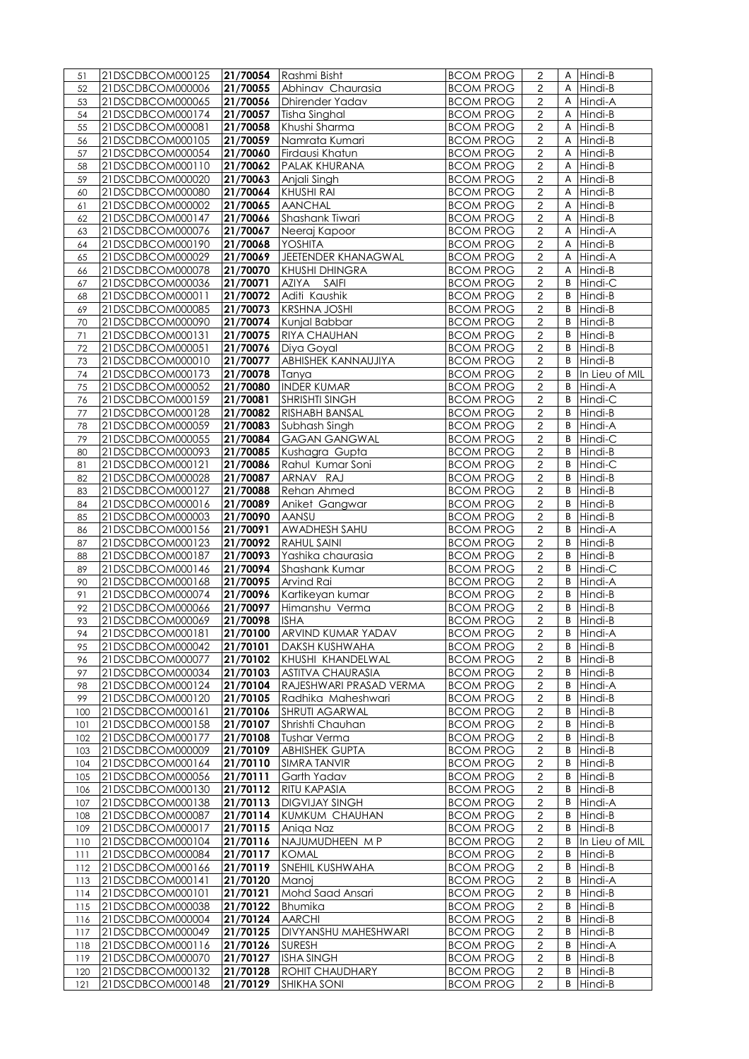| 51  | 21DSCDBCOM000125 |                   | 21/70054 Rashmi Bisht       | <b>BCOM PROG</b> | 2                       |   | A Hindi-B        |
|-----|------------------|-------------------|-----------------------------|------------------|-------------------------|---|------------------|
| 52  | 21DSCDBCOM000006 | 21/70055          | Abhinav Chaurasia           | <b>BCOM PROG</b> | $\overline{2}$          | A | Hindi-B          |
| 53  | 21DSCDBCOM000065 | 21/70056          | Dhirender Yadav             | <b>BCOM PROG</b> | $\boldsymbol{2}$        | A | Hindi-A          |
| 54  | 21DSCDBCOM000174 | 21/70057          | Tisha Singhal               | <b>BCOM PROG</b> | $\boldsymbol{2}$        | Α | Hindi-B          |
| 55  | 21DSCDBCOM000081 | 21/70058          | Khushi Sharma               | <b>BCOM PROG</b> | $\overline{c}$          | A | Hindi-B          |
| 56  | 21DSCDBCOM000105 | 21/70059          | Namrata Kumari              | <b>BCOM PROG</b> | $\mathbf 2$             | A | Hindi-B          |
| 57  | 21DSCDBCOM000054 | 21/70060          | Firdausi Khatun             | <b>BCOM PROG</b> | 2                       | Α | Hindi-B          |
|     | 21DSCDBCOM000110 |                   |                             |                  | $\overline{2}$          |   |                  |
| 58  |                  | 21/70062          | PALAK KHURANA               | <b>BCOM PROG</b> |                         | Α | Hindi-B          |
| 59  | 21DSCDBCOM000020 | 21/70063          | Anjali Singh                | <b>BCOM PROG</b> | $\overline{2}$          | A | Hindi-B          |
| 60  | 21DSCDBCOM000080 | 21/70064          | <b>KHUSHI RAI</b>           | <b>BCOM PROG</b> | $\mathbf 2$             | A | Hindi-B          |
| 61  | 21DSCDBCOM000002 | 21/70065          | <b>AANCHAL</b>              | <b>BCOM PROG</b> | $\boldsymbol{2}$        | A | Hindi-B          |
| 62  | 21DSCDBCOM000147 | 21/70066          | Shashank Tiwari             | <b>BCOM PROG</b> | $\overline{2}$          | Α | Hindi-B          |
| 63  | 21DSCDBCOM000076 | 21/70067          | Neeraj Kapoor               | <b>BCOM PROG</b> | $\overline{2}$          | A | Hindi-A          |
| 64  | 21DSCDBCOM000190 | 21/70068          | <b>YOSHITA</b>              | <b>BCOM PROG</b> | 2                       | A | Hindi-B          |
| 65  | 21DSCDBCOM000029 | 21/70069          | JEETENDER KHANAGWAL         | <b>BCOM PROG</b> | $\overline{c}$          | Α | Hindi-A          |
| 66  | 21DSCDBCOM000078 | 21/70070          | <b>KHUSHI DHINGRA</b>       | <b>BCOM PROG</b> | $\sqrt{2}$              | Α | Hindi-B          |
| 67  | 21DSCDBCOM000036 | 21/70071          | AZIYA SAIFI                 | <b>BCOM PROG</b> | $\overline{2}$          | B | Hindi-C          |
| 68  | 21DSCDBCOM000011 | 21/70072          | Aditi Kaushik               | <b>BCOM PROG</b> | $\overline{\mathbf{c}}$ | В | Hindi-B          |
| 69  | 21DSCDBCOM000085 | 21/70073          | <b>KRSHNA JOSHI</b>         | <b>BCOM PROG</b> | $\overline{c}$          | B | Hindi-B          |
| 70  | 21DSCDBCOM000090 | 21/70074          | Kunjal Babbar               | <b>BCOM PROG</b> | $\mathbf 2$             | B | Hindi-B          |
| 71  | 21DSCDBCOM000131 | 21/70075          | RIYA CHAUHAN                | <b>BCOM PROG</b> | $\sqrt{2}$              | B | Hindi-B          |
| 72  | 21DSCDBCOM000051 | 21/70076          | Diya Goyal                  | <b>BCOM PROG</b> | $\overline{2}$          | В | Hindi-B          |
|     |                  |                   |                             |                  |                         |   |                  |
| 73  | 21DSCDBCOM000010 | 21/70077          | ABHISHEK KANNAUJIYA         | <b>BCOM PROG</b> | $\overline{\mathbf{c}}$ | B | Hindi-B          |
| 74  | 21DSCDBCOM000173 | $\sqrt{21}/70078$ | Tanya                       | <b>BCOM PROG</b> | $\overline{2}$          | B | In Lieu of MIL   |
| 75  | 21DSCDBCOM000052 | 21/70080          | <b>INDER KUMAR</b>          | <b>BCOM PROG</b> | $\boldsymbol{2}$        | B | Hindi-A          |
| 76  | 21DSCDBCOM000159 | 21/70081          | <b>SHRISHTI SINGH</b>       | <b>BCOM PROG</b> | $\overline{2}$          | B | Hindi-C          |
| 77  | 21DSCDBCOM000128 | 21/70082          | <b>RISHABH BANSAL</b>       | <b>BCOM PROG</b> | $\boldsymbol{2}$        | B | Hindi-B          |
| 78  | 21DSCDBCOM000059 | 21/70083          | Subhash Singh               | <b>BCOM PROG</b> | $\boldsymbol{2}$        | B | Hindi-A          |
| 79  | 21DSCDBCOM000055 | 21/70084          | <b>GAGAN GANGWAL</b>        | <b>BCOM PROG</b> | $\boldsymbol{2}$        | B | Hindi-C          |
| 80  | 21DSCDBCOM000093 | 21/70085          | Kushagra Gupta              | <b>BCOM PROG</b> | $\overline{2}$          | B | Hindi-B          |
| 81  | 21DSCDBCOM000121 | 21/70086          | Rahul Kumar Soni            | <b>BCOM PROG</b> | $\boldsymbol{2}$        | B | Hindi-C          |
| 82  | 21DSCDBCOM000028 | 21/70087          | ARNAV RAJ                   | <b>BCOM PROG</b> | $\overline{\mathbf{c}}$ | B | Hindi-B          |
| 83  | 21DSCDBCOM000127 | 21/70088          | Rehan Ahmed                 | <b>BCOM PROG</b> | $\overline{c}$          | B | Hindi-B          |
| 84  | 21DSCDBCOM000016 | 21/70089          | Aniket Gangwar              | <b>BCOM PROG</b> | $\overline{\mathbf{c}}$ | B | Hindi-B          |
| 85  | 21DSCDBCOM000003 | 21/70090          | AANSU                       | <b>BCOM PROG</b> | $\overline{2}$          | B | Hindi-B          |
| 86  | 21DSCDBCOM000156 | 21/70091          | AWADHESH SAHU               | <b>BCOM PROG</b> | $\boldsymbol{2}$        | В | Hindi-A          |
| 87  | 21DSCDBCOM000123 | 21/70092          | RAHUL SAINI                 | <b>BCOM PROG</b> | $\overline{\mathbf{c}}$ | B | Hindi-B          |
|     |                  |                   |                             | <b>BCOM PROG</b> | $\overline{2}$          | B |                  |
| 88  | 21DSCDBCOM000187 | 21/70093          | Yashika chaurasia           |                  |                         |   | Hindi-B          |
| 89  | 21DSCDBCOM000146 | 21/70094          | Shashank Kumar              | <b>BCOM PROG</b> | $\overline{\mathbf{c}}$ | B | Hindi-C          |
| 90  | 21DSCDBCOM000168 | 21/70095          | Arvind Rai                  | <b>BCOM PROG</b> | $\overline{c}$          | В | Hindi-A          |
| 91  | 21DSCDBCOM000074 | 21/70096          | Kartikeyan kumar            | <b>BCOM PROG</b> | $\overline{\mathbf{c}}$ | B | Hindi-B          |
| 92  | 21DSCDBCOM000066 | 21/70097          | Himanshu Verma              | <b>BCOM PROG</b> | $\overline{2}$          | B | Hindi-B          |
| 93  | 21DSCDBCOM000069 | 21/70098          | <b>ISHA</b>                 | <b>BCOM PROG</b> | $\overline{c}$          |   | <b>B</b> Hindi-B |
| 94  | 21DSCDBCOM000181 |                   | 21/70100 ARVIND KUMAR YADAV | <b>BCOM PROG</b> | $\overline{2}$          |   | B Hindi-A        |
| 95  | 21DSCDBCOM000042 | 21/70101          | <b>DAKSH KUSHWAHA</b>       | <b>BCOM PROG</b> | $\overline{\mathbf{c}}$ | B | Hindi-B          |
| 96  | 21DSCDBCOM000077 | 21/70102          | KHUSHI KHANDELWAL           | <b>BCOM PROG</b> | 2                       | B | Hindi-B          |
| 97  | 21DSCDBCOM000034 | 21/70103          | <b>ASTITVA CHAURASIA</b>    | <b>BCOM PROG</b> | 2                       | В | Hindi-B          |
| 98  | 21DSCDBCOM000124 | 21/70104          | RAJESHWARI PRASAD VERMA     | <b>BCOM PROG</b> | $\overline{\mathbf{c}}$ | B | Hindi-A          |
| 99  | 21DSCDBCOM000120 | 21/70105          | Radhika Maheshwari          | <b>BCOM PROG</b> | $\boldsymbol{2}$        | B | Hindi-B          |
| 100 | 21DSCDBCOM000161 | 21/70106          | <b>SHRUTI AGARWAL</b>       | <b>BCOM PROG</b> | 2                       | В | Hindi-B          |
| 101 | 21DSCDBCOM000158 | 21/70107          | Shrishti Chauhan            | <b>BCOM PROG</b> | $\overline{c}$          | B | Hindi-B          |
| 102 | 21DSCDBCOM000177 | 21/70108          | <b>Tushar Verma</b>         | <b>BCOM PROG</b> | $\overline{\mathbf{c}}$ | B | Hindi-B          |
| 103 | 21DSCDBCOM000009 | 21/70109          | <b>ABHISHEK GUPTA</b>       | <b>BCOM PROG</b> | $\boldsymbol{2}$        | B | Hindi-B          |
| 104 | 21DSCDBCOM000164 | 21/70110          | <b>SIMRA TANVIR</b>         | <b>BCOM PROG</b> | 2                       | В | Hindi-B          |
|     | 21DSCDBCOM000056 | 21/70111          | Garth Yadav                 | <b>BCOM PROG</b> | $\overline{c}$          | B | Hindi-B          |
| 105 |                  |                   |                             | <b>BCOM PROG</b> |                         | B |                  |
| 106 | 21DSCDBCOM000130 | 21/70112          | RITU KAPASIA                |                  | $\mathbf 2$             |   | Hindi-B          |
| 107 | 21DSCDBCOM000138 | 21/70113          | <b>DIGVIJAY SINGH</b>       | <b>BCOM PROG</b> | $\boldsymbol{2}$        | В | Hindi-A          |
| 108 | 21DSCDBCOM000087 | 21/70114          | KUMKUM CHAUHAN              | <b>BCOM PROG</b> | $\overline{2}$          | В | Hindi-B          |
| 109 | 21DSCDBCOM000017 | 21/70115          | Aniga Naz                   | <b>BCOM PROG</b> | $\boldsymbol{2}$        | B | Hindi-B          |
| 110 | 21DSCDBCOM000104 | 21/70116          | NAJUMUDHEEN M P             | <b>BCOM PROG</b> | $\overline{c}$          | B | In Lieu of MIL   |
| 111 | 21DSCDBCOM000084 | 21/70117          | <b>KOMAL</b>                | <b>BCOM PROG</b> | $\overline{2}$          | В | Hindi-B          |
| 112 | 21DSCDBCOM000166 | 21/70119          | SNEHIL KUSHWAHA             | <b>BCOM PROG</b> | $\boldsymbol{2}$        | B | Hindi-B          |
| 113 | 21DSCDBCOM000141 | 21/70120          | Manoi                       | <b>BCOM PROG</b> | $\overline{\mathbf{c}}$ | B | Hindi-A          |
| 114 | 21DSCDBCOM000101 | 21/70121          | Mohd Saad Ansari            | <b>BCOM PROG</b> | $\boldsymbol{2}$        | B | Hindi-B          |
| 115 | 21DSCDBCOM000038 | 21/70122          | Bhumika                     | <b>BCOM PROG</b> | 2                       | В | Hindi-B          |
| 116 | 21DSCDBCOM000004 | 21/70124          | <b>AARCHI</b>               | <b>BCOM PROG</b> | $\overline{\mathbf{c}}$ | B | Hindi-B          |
| 117 | 21DSCDBCOM000049 | 21/70125          | DIVYANSHU MAHESHWARI        | <b>BCOM PROG</b> | $\boldsymbol{2}$        | B | Hindi-B          |
| 118 | 21DSCDBCOM000116 | 21/70126          | <b>SURESH</b>               | <b>BCOM PROG</b> | 2                       | B | Hindi-A          |
| 119 | 21DSCDBCOM000070 | 21/70127          | <b>ISHA SINGH</b>           | <b>BCOM PROG</b> | $\overline{c}$          | B | Hindi-B          |
| 120 | 21DSCDBCOM000132 | 21/70128          | <b>ROHIT CHAUDHARY</b>      | <b>BCOM PROG</b> | $\boldsymbol{2}$        | В | Hindi-B          |
| 121 | 21DSCDBCOM000148 | 21/70129          | <b>SHIKHA SONI</b>          | <b>BCOM PROG</b> | $\overline{c}$          | B | Hindi-B          |
|     |                  |                   |                             |                  |                         |   |                  |